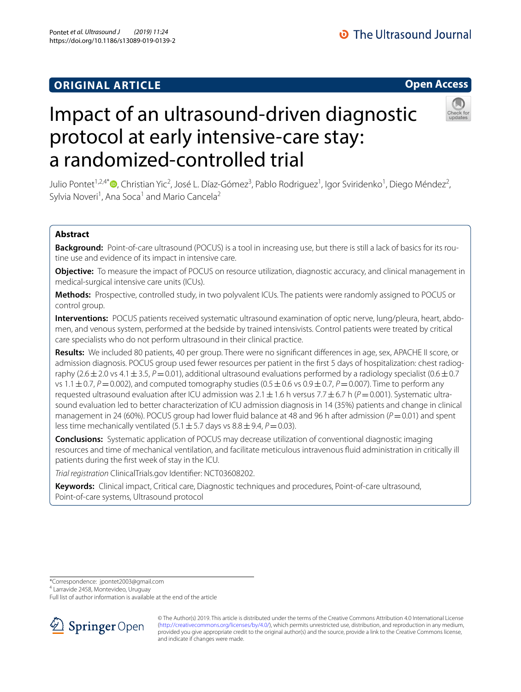# **ORIGINAL ARTICLE**

# Impact of an ultrasound-driven diagnostic protocol at early intensive-care stay: a randomized-controlled trial

Julio Pontet<sup>1,2,4\*</sup>®[,](http://orcid.org/0000-0002-6355-652X) Christian Yic<sup>2</sup>, José L. Díaz-Gómez<sup>3</sup>, Pablo Rodriguez<sup>1</sup>, Igor Sviridenko<sup>1</sup>, Diego Méndez<sup>2</sup>, Sylvia Noveri<sup>1</sup>, Ana Soca<sup>1</sup> and Mario Cancela<sup>2</sup>

## **Abstract**

**Background:** Point-of-care ultrasound (POCUS) is a tool in increasing use, but there is still a lack of basics for its routine use and evidence of its impact in intensive care.

**Objective:** To measure the impact of POCUS on resource utilization, diagnostic accuracy, and clinical management in medical-surgical intensive care units (ICUs).

**Methods:** Prospective, controlled study, in two polyvalent ICUs. The patients were randomly assigned to POCUS or control group.

**Interventions:** POCUS patients received systematic ultrasound examination of optic nerve, lung/pleura, heart, abdomen, and venous system, performed at the bedside by trained intensivists. Control patients were treated by critical care specialists who do not perform ultrasound in their clinical practice.

**Results:** We included 80 patients, 40 per group. There were no signifcant diferences in age, sex, APACHE II score, or admission diagnosis. POCUS group used fewer resources per patient in the first 5 days of hospitalization: chest radiography ( $2.6\pm2.0$  vs  $4.1\pm3.5$ ,  $P=0.01$ ), additional ultrasound evaluations performed by a radiology specialist ( $0.6\pm0.7$ ) vs 1.1  $\pm$  0.7, *P* = 0.002), and computed tomography studies (0.5  $\pm$  0.6 vs 0.9  $\pm$  0.7, *P* = 0.007). Time to perform any requested ultrasound evaluation after ICU admission was 2.1  $\pm$  1.6 h versus 7.7  $\pm$  6.7 h (P = 0.001). Systematic ultrasound evaluation led to better characterization of ICU admission diagnosis in 14 (35%) patients and change in clinical management in 24 (60%). POCUS group had lower fluid balance at 48 and 96 h after admission (*P* = 0.01) and spent less time mechanically ventilated  $(5.1 \pm 5.7$  days vs  $8.8 \pm 9.4$ ,  $P=0.03$ ).

**Conclusions:** Systematic application of POCUS may decrease utilization of conventional diagnostic imaging resources and time of mechanical ventilation, and facilitate meticulous intravenous fuid administration in critically ill patients during the frst week of stay in the ICU.

*Trial registration* ClinicalTrials.gov Identifer: NCT03608202.

**Keywords:** Clinical impact, Critical care, Diagnostic techniques and procedures, Point-of-care ultrasound, Point-of-care systems, Ultrasound protocol

\*Correspondence: jpontet2003@gmail.com

4 Larravide 2458, Montevideo, Uruguay

Full list of author information is available at the end of the article



© The Author(s) 2019. This article is distributed under the terms of the Creative Commons Attribution 4.0 International License [\(http://creativecommons.org/licenses/by/4.0/\)](http://creativecommons.org/licenses/by/4.0/), which permits unrestricted use, distribution, and reproduction in any medium, provided you give appropriate credit to the original author(s) and the source, provide a link to the Creative Commons license, and indicate if changes were made.



**Open Access**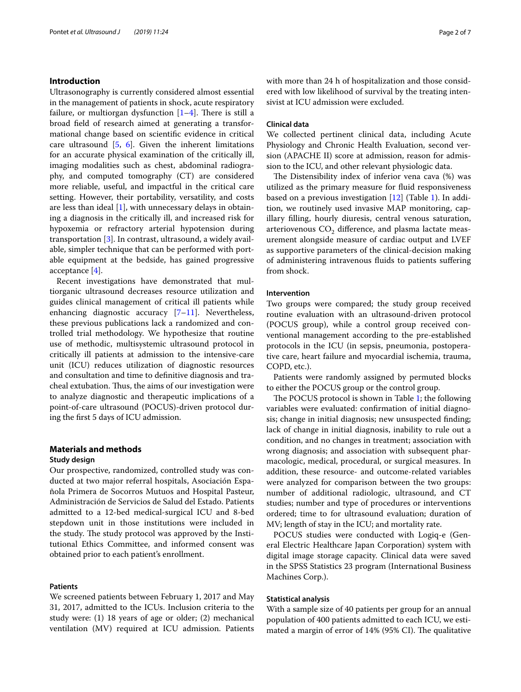## **Introduction**

Ultrasonography is currently considered almost essential in the management of patients in shock, acute respiratory failure, or multiorgan dysfunction  $[1-4]$  $[1-4]$  $[1-4]$ . There is still a broad feld of research aimed at generating a transformational change based on scientifc evidence in critical care ultrasound  $[5, 6]$  $[5, 6]$  $[5, 6]$  $[5, 6]$ . Given the inherent limitations for an accurate physical examination of the critically ill, imaging modalities such as chest, abdominal radiography, and computed tomography (CT) are considered more reliable, useful, and impactful in the critical care setting. However, their portability, versatility, and costs are less than ideal [[1\]](#page-5-0), with unnecessary delays in obtaining a diagnosis in the critically ill, and increased risk for hypoxemia or refractory arterial hypotension during transportation [[3](#page-6-3)]. In contrast, ultrasound, a widely available, simpler technique that can be performed with portable equipment at the bedside, has gained progressive acceptance [\[4](#page-6-0)].

Recent investigations have demonstrated that multiorganic ultrasound decreases resource utilization and guides clinical management of critical ill patients while enhancing diagnostic accuracy  $[7-11]$  $[7-11]$  $[7-11]$ . Nevertheless, these previous publications lack a randomized and controlled trial methodology. We hypothesize that routine use of methodic, multisystemic ultrasound protocol in critically ill patients at admission to the intensive-care unit (ICU) reduces utilization of diagnostic resources and consultation and time to defnitive diagnosis and tracheal extubation. Thus, the aims of our investigation were to analyze diagnostic and therapeutic implications of a point-of-care ultrasound (POCUS)-driven protocol during the frst 5 days of ICU admission.

## **Materials and methods**

#### **Study design**

Our prospective, randomized, controlled study was conducted at two major referral hospitals, Asociación Española Primera de Socorros Mutuos and Hospital Pasteur, Administración de Servicios de Salud del Estado. Patients admitted to a 12-bed medical-surgical ICU and 8-bed stepdown unit in those institutions were included in the study. The study protocol was approved by the Institutional Ethics Committee, and informed consent was obtained prior to each patient's enrollment.

## **Patients**

We screened patients between February 1, 2017 and May 31, 2017, admitted to the ICUs. Inclusion criteria to the study were: (1) 18 years of age or older; (2) mechanical ventilation (MV) required at ICU admission. Patients with more than 24 h of hospitalization and those considered with low likelihood of survival by the treating intensivist at ICU admission were excluded.

## **Clinical data**

We collected pertinent clinical data, including Acute Physiology and Chronic Health Evaluation, second version (APACHE II) score at admission, reason for admission to the ICU, and other relevant physiologic data.

The Distensibility index of inferior vena cava (%) was utilized as the primary measure for fuid responsiveness based on a previous investigation  $[12]$  $[12]$  (Table [1](#page-2-0)). In addition, we routinely used invasive MAP monitoring, capillary flling, hourly diuresis, central venous saturation, arteriovenous  $CO<sub>2</sub>$  difference, and plasma lactate measurement alongside measure of cardiac output and LVEF as supportive parameters of the clinical-decision making of administering intravenous fuids to patients sufering from shock.

#### **Intervention**

Two groups were compared; the study group received routine evaluation with an ultrasound-driven protocol (POCUS group), while a control group received conventional management according to the pre-established protocols in the ICU (in sepsis, pneumonia, postoperative care, heart failure and myocardial ischemia, trauma, COPD, etc.).

Patients were randomly assigned by permuted blocks to either the POCUS group or the control group.

The POCUS protocol is shown in Table [1;](#page-2-0) the following variables were evaluated: confrmation of initial diagnosis; change in initial diagnosis; new unsuspected fnding; lack of change in initial diagnosis, inability to rule out a condition, and no changes in treatment; association with wrong diagnosis; and association with subsequent pharmacologic, medical, procedural, or surgical measures. In addition, these resource- and outcome-related variables were analyzed for comparison between the two groups: number of additional radiologic, ultrasound, and CT studies; number and type of procedures or interventions ordered; time to for ultrasound evaluation; duration of MV; length of stay in the ICU; and mortality rate.

POCUS studies were conducted with Logiq-e (General Electric Healthcare Japan Corporation) system with digital image storage capacity. Clinical data were saved in the SPSS Statistics 23 program (International Business Machines Corp.).

#### **Statistical analysis**

With a sample size of 40 patients per group for an annual population of 400 patients admitted to each ICU, we estimated a margin of error of 14% (95% CI). The qualitative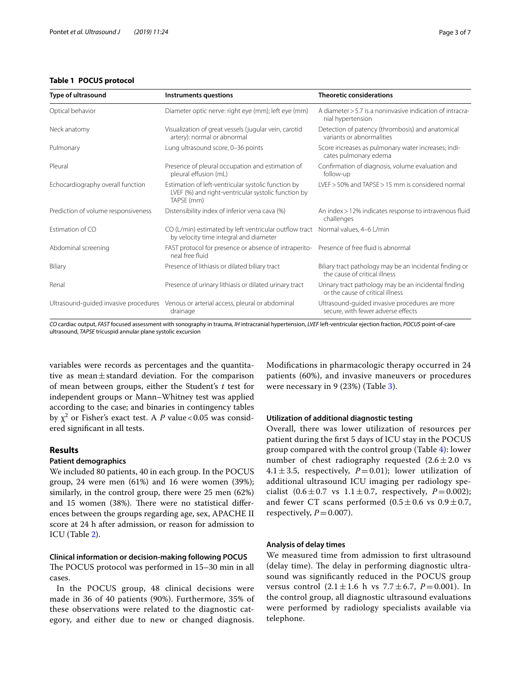## <span id="page-2-0"></span>**Table 1 POCUS protocol**

| Type of ultrasound                  | Instruments questions                                                                                                    | <b>Theoretic considerations</b>                                                |
|-------------------------------------|--------------------------------------------------------------------------------------------------------------------------|--------------------------------------------------------------------------------|
| Optical behavior                    | Diameter optic nerve: right eye (mm); left eye (mm)                                                                      | A diameter > 5.7 is a noninvasive indication of intracra-<br>nial hypertension |
| Neck anatomy                        | Visualization of great vessels (jugular vein, carotid<br>artery): normal or abnormal                                     | Detection of patency (thrombosis) and anatomical<br>variants or abnormalities  |
| Pulmonary                           | Lung ultrasound score, 0-36 points                                                                                       | Score increases as pulmonary water increases; indi-<br>cates pulmonary edema   |
| Pleural                             | Presence of pleural occupation and estimation of<br>pleural effusion (mL)                                                | Confirmation of diagnosis, volume evaluation and<br>follow-up                  |
| Echocardiography overall function   | Estimation of left-ventricular systolic function by<br>LVEF (%) and right-ventricular systolic function by<br>TAPSE (mm) | $LVEF > 50\%$ and TAPSE $> 15$ mm is considered normal                         |
| Prediction of volume responsiveness | Distensibility index of inferior vena cava (%)                                                                           | An index > 12% indicates response to intravenous fluid<br>challenges           |
| Estimation of CO                    | CO (L/min) estimated by left ventricular outflow tract<br>by velocity time integral and diameter                         | Normal values, 4-6 L/min                                                       |
| Abdominal screening                 | FAST protocol for presence or absence of intraperito-<br>neal free fluid                                                 | Presence of free fluid is abnormal                                             |
| Biliary                             | Presence of lithiasis or dilated biliary tract                                                                           | Biliary tract pathology may be an incidental finding or                        |

*CO* cardiac output, *FAST* focused assessment with sonography in trauma, *IH* intracranial hypertension, *LVEF* left-ventricular ejection fraction, *POCUS* point-of-care ultrasound, *TAPSE* tricuspid annular plane systolic excursion

Renal Presence of urinary lithiasis or dilated urinary tract Urinary tract pathology may be an incidental finding

variables were records as percentages and the quantitative as mean±standard deviation. For the comparison of mean between groups, either the Student's *t* test for independent groups or Mann–Whitney test was applied according to the case; and binaries in contingency tables by χ<sup>2</sup> or Fisher's exact test. A *P* value<0.05 was considered signifcant in all tests.

Ultrasound-guided invasive procedures Venous or arterial access, pleural or abdominal drainage

#### **Results**

#### **Patient demographics**

We included 80 patients, 40 in each group. In the POCUS group, 24 were men (61%) and 16 were women (39%); similarly, in the control group, there were 25 men (62%) and 15 women (38%). There were no statistical differences between the groups regarding age, sex, APACHE II score at 24 h after admission, or reason for admission to ICU (Table [2](#page-3-0)).

#### **Clinical information or decision‑making following POCUS**

The POCUS protocol was performed in 15-30 min in all cases.

In the POCUS group, 48 clinical decisions were made in 36 of 40 patients (90%). Furthermore, 35% of these observations were related to the diagnostic category, and either due to new or changed diagnosis. Modifcations in pharmacologic therapy occurred in 24 patients (60%), and invasive maneuvers or procedures were necessary in 9 (23%) (Table [3\)](#page-3-1).

the cause of critical illness

or the cause of critical illness

secure, with fewer adverse effects

Ultrasound-guided invasive procedures are more

#### **Utilization of additional diagnostic testing**

Overall, there was lower utilization of resources per patient during the frst 5 days of ICU stay in the POCUS group compared with the control group (Table [4](#page-4-0)): lower number of chest radiography requested  $(2.6 \pm 2.0 \text{ vs }$ 4.1 $\pm$ 3.5, respectively,  $P=0.01$ ); lower utilization of additional ultrasound ICU imaging per radiology specialist  $(0.6 \pm 0.7 \text{ vs } 1.1 \pm 0.7, \text{ respectively, } P = 0.002);$ and fewer CT scans performed  $(0.5 \pm 0.6 \text{ vs } 0.9 \pm 0.7,$ respectively,  $P=0.007$ ).

#### **Analysis of delay times**

We measured time from admission to frst ultrasound (delay time). The delay in performing diagnostic ultrasound was signifcantly reduced in the POCUS group versus control  $(2.1 \pm 1.6 \text{ h} \text{ vs } 7.7 \pm 6.7, P = 0.001)$ . In the control group, all diagnostic ultrasound evaluations were performed by radiology specialists available via telephone.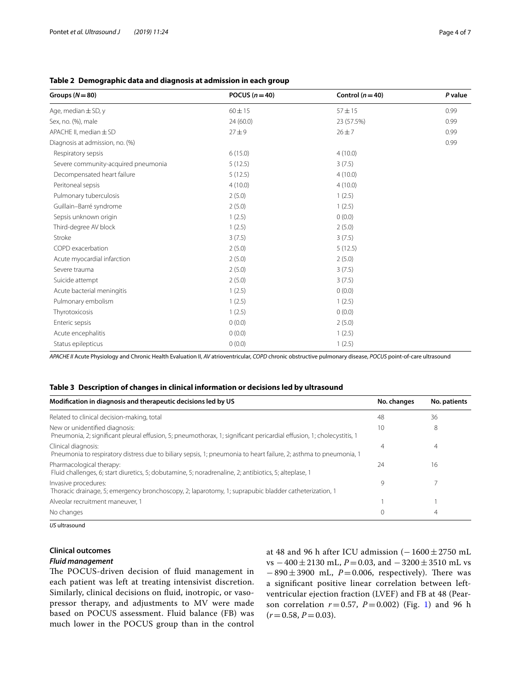## <span id="page-3-0"></span>**Table 2 Demographic data and diagnosis at admission in each group**

| Groups $(N=80)$                     | POCUS $(n=40)$ | Control $(n=40)$ | P value |
|-------------------------------------|----------------|------------------|---------|
| Age, median $\pm$ SD, y             | $60 + 15$      | $57 + 15$        | 0.99    |
| Sex, no. (%), male                  | 24 (60.0)      | 23 (57.5%)       | 0.99    |
| APACHE II, median ± SD              | $27 + 9$       | $26 + 7$         | 0.99    |
| Diagnosis at admission, no. (%)     |                |                  | 0.99    |
| Respiratory sepsis                  | 6(15.0)        | 4(10.0)          |         |
| Severe community-acquired pneumonia | 5(12.5)        | 3(7.5)           |         |
| Decompensated heart failure         | 5(12.5)        | 4(10.0)          |         |
| Peritoneal sepsis                   | 4(10.0)        | 4(10.0)          |         |
| Pulmonary tuberculosis              | 2(5.0)         | 1(2.5)           |         |
| Guillain-Barré syndrome             | 2(5.0)         | 1(2.5)           |         |
| Sepsis unknown origin               | 1(2.5)         | 0(0.0)           |         |
| Third-degree AV block               | 1(2.5)         | 2(5.0)           |         |
| Stroke                              | 3(7.5)         | 3(7.5)           |         |
| COPD exacerbation                   | 2(5.0)         | 5(12.5)          |         |
| Acute myocardial infarction         | 2(5.0)         | 2(5.0)           |         |
| Severe trauma                       | 2(5.0)         | 3(7.5)           |         |
| Suicide attempt                     | 2(5.0)         | 3(7.5)           |         |
| Acute bacterial meningitis          | 1(2.5)         | 0(0.0)           |         |
| Pulmonary embolism                  | 1(2.5)         | 1(2.5)           |         |
| Thyrotoxicosis                      | 1(2.5)         | 0(0.0)           |         |
| Enteric sepsis                      | 0(0.0)         | 2(5.0)           |         |
| Acute encephalitis                  | 0(0.0)         | 1(2.5)           |         |
| Status epilepticus                  | 0(0.0)         | 1(2.5)           |         |

*APACHE II* Acute Physiology and Chronic Health Evaluation II, *AV* atrioventricular, *COPD* chronic obstructive pulmonary disease, *POCUS* point-of-care ultrasound

#### <span id="page-3-1"></span>**Table 3 Description of changes in clinical information or decisions led by ultrasound**

| Modification in diagnosis and therapeutic decisions led by US                                                                                           |    | No. patients |
|---------------------------------------------------------------------------------------------------------------------------------------------------------|----|--------------|
| Related to clinical decision-making, total                                                                                                              | 48 | 36           |
| New or unidentified diagnosis:<br>Pneumonia, 2; significant pleural effusion, 5; pneumothorax, 1; significant pericardial effusion, 1; cholecystitis, 1 | 10 | 8            |
| Clinical diagnosis:<br>Pneumonia to respiratory distress due to biliary sepsis, 1; pneumonia to heart failure, 2; asthma to pneumonia, 1                | 4  | 4            |
| Pharmacological therapy:<br>Fluid challenges, 6; start diuretics, 5; dobutamine, 5; noradrenaline, 2; antibiotics, 5; alteplase, 1                      | 24 | 16           |
| Invasive procedures:<br>Thoracic drainage, 5; emergency bronchoscopy, 2; laparotomy, 1; suprapubic bladder catheterization, 1                           | 9  |              |
| Alveolar recruitment maneuver, 1                                                                                                                        |    |              |
| No changes                                                                                                                                              |    | 4            |

*US* ultrasound

## **Clinical outcomes** *Fluid management*

The POCUS-driven decision of fluid management in each patient was left at treating intensivist discretion. Similarly, clinical decisions on fuid, inotropic, or vasopressor therapy, and adjustments to MV were made based on POCUS assessment. Fluid balance (FB) was much lower in the POCUS group than in the control at 48 and 96 h after ICU admission  $(-1600 \pm 2750 \text{ mL})$ vs −400±2130 mL, *P*=0.03, and −3200±3510 mL vs  $-890 \pm 3900$  mL,  $P=0.006$ , respectively). There was a signifcant positive linear correlation between leftventricular ejection fraction (LVEF) and FB at 48 (Pearson correlation *r*=0.57, *P*=0.002) (Fig. [1\)](#page-4-1) and 96 h  $(r=0.58, P=0.03).$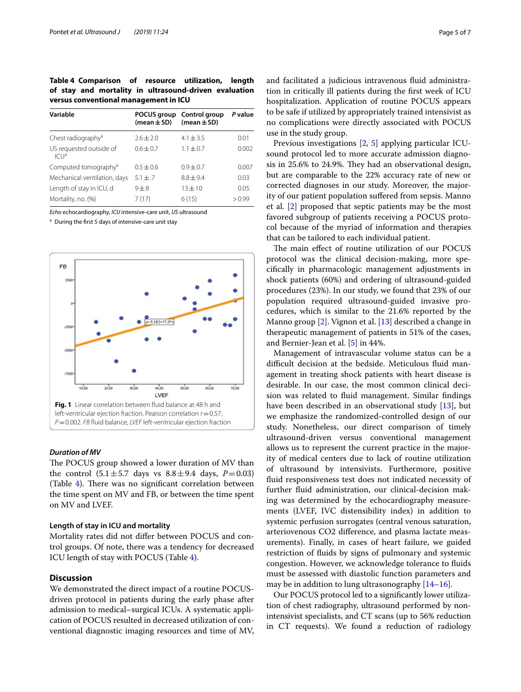<span id="page-4-0"></span>**Table 4 Comparison of resource utilization, length of stay and mortality in ultrasound-driven evaluation versus conventional management in ICU**

| Variable                                      | $(mean \pm SD)$ | POCUS group Control group<br>$(mean \pm SD)$ | P value |
|-----------------------------------------------|-----------------|----------------------------------------------|---------|
| Chest radiography <sup>a</sup>                | $2.6 + 2.0$     | $4.1 \pm 3.5$                                | 0.01    |
| US requested outside of<br>$ C $ <sup>a</sup> | $0.6 + 0.7$     | $1.1 \pm 0.7$                                | 0.002   |
| Computed tomography <sup>a</sup>              | $0.5 + 0.6$     | $0.9 + 0.7$                                  | 0.007   |
| Mechanical ventilation, days                  | $5.1 \pm .7$    | $8.8 + 9.4$                                  | 0.03    |
| Length of stay in ICU, d                      | $9\pm8$         | $13 + 10$                                    | 0.05    |
| Mortality, no. (%)                            | 7(17)           | 6(15)                                        | > 0.99  |

*Echo* echocardiography, *ICU* intensive-care unit, *US* ultrasound

<sup>a</sup> During the first 5 days of intensive-care unit stay



#### <span id="page-4-1"></span>*Duration of MV*

The POCUS group showed a lower duration of MV than the control  $(5.1 \pm 5.7)$  days vs  $8.8 \pm 9.4$  days,  $P = 0.03$ ) (Table  $4$ ). There was no significant correlation between the time spent on MV and FB, or between the time spent on MV and LVEF.

## **Length of stay in ICU and mortality**

Mortality rates did not difer between POCUS and control groups. Of note, there was a tendency for decreased ICU length of stay with POCUS (Table [4\)](#page-4-0).

#### **Discussion**

We demonstrated the direct impact of a routine POCUSdriven protocol in patients during the early phase after admission to medical–surgical ICUs. A systematic application of POCUS resulted in decreased utilization of conventional diagnostic imaging resources and time of MV, and facilitated a judicious intravenous fuid administration in critically ill patients during the frst week of ICU hospitalization. Application of routine POCUS appears to be safe if utilized by appropriately trained intensivist as no complications were directly associated with POCUS use in the study group.

Previous investigations [\[2](#page-6-7), [5](#page-6-1)] applying particular ICUsound protocol led to more accurate admission diagnosis in 25.6% to 24.9%. They had an observational design, but are comparable to the 22% accuracy rate of new or corrected diagnoses in our study. Moreover, the majority of our patient population sufered from sepsis. Manno et al. [[2\]](#page-6-7) proposed that septic patients may be the most favored subgroup of patients receiving a POCUS protocol because of the myriad of information and therapies that can be tailored to each individual patient.

The main effect of routine utilization of our POCUS protocol was the clinical decision-making, more specifcally in pharmacologic management adjustments in shock patients (60%) and ordering of ultrasound-guided procedures (23%). In our study, we found that 23% of our population required ultrasound-guided invasive procedures, which is similar to the 21.6% reported by the Manno group [\[2](#page-6-7)]. Vignon et al. [[13](#page-6-8)] described a change in therapeutic management of patients in 51% of the cases, and Bernier-Jean et al. [\[5\]](#page-6-1) in 44%.

Management of intravascular volume status can be a difficult decision at the bedside. Meticulous fluid management in treating shock patients with heart disease is desirable. In our case, the most common clinical decision was related to fuid management. Similar fndings have been described in an observational study [\[13\]](#page-6-8), but we emphasize the randomized-controlled design of our study. Nonetheless, our direct comparison of timely ultrasound-driven versus conventional management allows us to represent the current practice in the majority of medical centers due to lack of routine utilization of ultrasound by intensivists. Furthermore, positive fuid responsiveness test does not indicated necessity of further fuid administration, our clinical-decision making was determined by the echocardiography measurements (LVEF, IVC distensibility index) in addition to systemic perfusion surrogates (central venous saturation, arteriovenous CO2 diference, and plasma lactate measurements). Finally, in cases of heart failure, we guided restriction of fuids by signs of pulmonary and systemic congestion. However, we acknowledge tolerance to fuids must be assessed with diastolic function parameters and may be in addition to lung ultrasonography [[14](#page-6-9)[–16](#page-6-10)].

Our POCUS protocol led to a signifcantly lower utilization of chest radiography, ultrasound performed by nonintensivist specialists, and CT scans (up to 56% reduction in CT requests). We found a reduction of radiology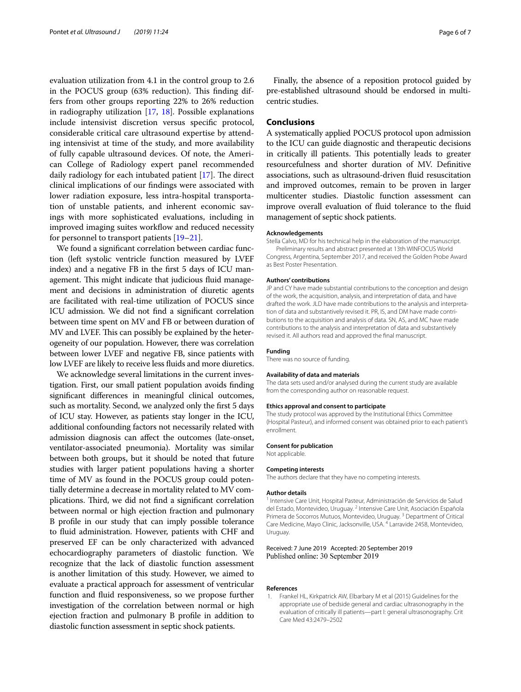evaluation utilization from 4.1 in the control group to 2.6 in the POCUS group (63% reduction). This finding differs from other groups reporting 22% to 26% reduction in radiography utilization [\[17,](#page-6-11) [18](#page-6-12)]. Possible explanations include intensivist discretion versus specifc protocol, considerable critical care ultrasound expertise by attending intensivist at time of the study, and more availability of fully capable ultrasound devices. Of note, the American College of Radiology expert panel recommended daily radiology for each intubated patient  $[17]$  $[17]$ . The direct clinical implications of our fndings were associated with lower radiation exposure, less intra-hospital transportation of unstable patients, and inherent economic savings with more sophisticated evaluations, including in improved imaging suites workflow and reduced necessity for personnel to transport patients [\[19–](#page-6-13)[21\]](#page-6-14).

We found a signifcant correlation between cardiac function (left systolic ventricle function measured by LVEF index) and a negative FB in the frst 5 days of ICU management. This might indicate that judicious fluid management and decisions in administration of diuretic agents are facilitated with real-time utilization of POCUS since ICU admission. We did not fnd a signifcant correlation between time spent on MV and FB or between duration of MV and LVEF. This can possibly be explained by the heterogeneity of our population. However, there was correlation between lower LVEF and negative FB, since patients with low LVEF are likely to receive less fuids and more diuretics.

We acknowledge several limitations in the current investigation. First, our small patient population avoids fnding signifcant diferences in meaningful clinical outcomes, such as mortality. Second, we analyzed only the frst 5 days of ICU stay. However, as patients stay longer in the ICU, additional confounding factors not necessarily related with admission diagnosis can afect the outcomes (late-onset, ventilator-associated pneumonia). Mortality was similar between both groups, but it should be noted that future studies with larger patient populations having a shorter time of MV as found in the POCUS group could potentially determine a decrease in mortality related to MV complications. Third, we did not find a significant correlation between normal or high ejection fraction and pulmonary B profle in our study that can imply possible tolerance to fuid administration. However, patients with CHF and preserved EF can be only characterized with advanced echocardiography parameters of diastolic function. We recognize that the lack of diastolic function assessment is another limitation of this study. However, we aimed to evaluate a practical approach for assessment of ventricular function and fuid responsiveness, so we propose further investigation of the correlation between normal or high ejection fraction and pulmonary B profle in addition to diastolic function assessment in septic shock patients.

Finally, the absence of a reposition protocol guided by pre-established ultrasound should be endorsed in multicentric studies.

#### **Conclusions**

A systematically applied POCUS protocol upon admission to the ICU can guide diagnostic and therapeutic decisions in critically ill patients. This potentially leads to greater resourcefulness and shorter duration of MV. Defnitive associations, such as ultrasound-driven fuid resuscitation and improved outcomes, remain to be proven in larger multicenter studies. Diastolic function assessment can improve overall evaluation of fuid tolerance to the fuid management of septic shock patients.

#### **Acknowledgements**

Stella Calvo, MD for his technical help in the elaboration of the manuscript. Preliminary results and abstract presented at 13th WINFOCUS World Congress, Argentina, September 2017, and received the Golden Probe Award as Best Poster Presentation.

#### **Authors' contributions**

JP and CY have made substantial contributions to the conception and design of the work, the acquisition, analysis, and interpretation of data, and have drafted the work. JLD have made contributions to the analysis and interpretation of data and substantively revised it. PR, IS, and DM have made contributions to the acquisition and analysis of data. SN, AS, and MC have made contributions to the analysis and interpretation of data and substantively revised it. All authors read and approved the fnal manuscript.

#### **Funding**

There was no source of funding.

#### **Availability of data and materials**

The data sets used and/or analysed during the current study are available from the corresponding author on reasonable request.

#### **Ethics approval and consent to participate**

The study protocol was approved by the Institutional Ethics Committee (Hospital Pasteur), and informed consent was obtained prior to each patient's enrollment.

#### **Consent for publication**

Not applicable.

#### **Competing interests**

The authors declare that they have no competing interests.

#### **Author details**

<sup>1</sup> Intensive Care Unit, Hospital Pasteur, Administración de Servicios de Salud del Estado, Montevideo, Uruguay. <sup>2</sup> Intensive Care Unit, Asociación Española Primera de Socorros Mutuos, Montevideo, Uruguay.<sup>3</sup> Department of Critical Care Medicine, Mayo Clinic, Jacksonville, USA. <sup>4</sup> Larravide 2458, Montevideo, **Uruguay** 

#### Received: 7 June 2019 Accepted: 20 September 2019 Published online: 30 September 2019

#### **References**

<span id="page-5-0"></span>1. Frankel HL, Kirkpatrick AW, Elbarbary M et al (2015) Guidelines for the appropriate use of bedside general and cardiac ultrasonography in the evaluation of critically ill patients—part I: general ultrasonography. Crit Care Med 43:2479–2502